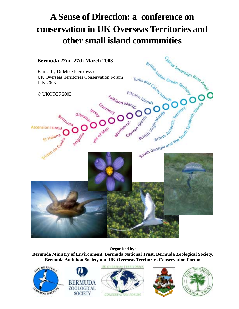# **A Sense of Direction: a conference on conservation in UK Overseas Territories and other small island communities**



**Organised by:**

**Bermuda Ministry of Environment, Bermuda National Trust, Bermuda Zoological Society, Bermuda Audubon Society and UK Overseas Territories Conservation Forum**









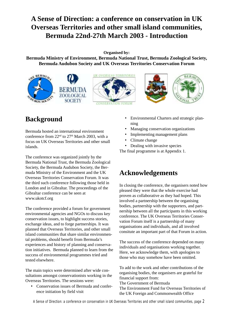## <span id="page-1-0"></span>**A Sense of Direction: a conference on conservation in UK Overseas Territories and other small island communities, Bermuda 22nd-27th March 2003 - Introduction**

**Organised by:**

**Bermuda Ministry of Environment, Bermuda National Trust, Bermuda Zoological Society, Bermuda Audubon Society and UK Overseas Territories Conservation Forum**





## **Background**

Bermuda hosted an international environment conference from  $22<sup>nd</sup>$  to  $27<sup>th</sup>$  March 2003, with a focus on UK Overseas Territories and other small islands.

The conference was organized jointly by the Bermuda National Trust, the Bermuda Zoological Society, the Bermuda Audubon Society, the Bermuda Ministry of the Environment and the UK Overseas Territories Conservation Forum. It was the third such conference following those held in London and in Gibraltar. The proceedings of the Gibraltar conference can be seen at www.ukotcf.org

The conference provided a forum for government environmental agencies and NGOs to discuss key conservation issues, to highlight success stories, exchange ideas, and to forge partnerships. It was planned that Overseas Territories, and other small island communities that share similar environmental problems, should benefit from Bermuda's experiences and history of planning and conservation initiatives. Bermuda planned to learn from the success of environmental programmes tried and tested elsewhere.

The main topics were determined after wide consultations amongst conservationists working in the Overseas Territories. The sessions were:

• Conservation issues of Bermuda and conference initiation by field visit

- Environmental Charters and strategic planning
- Managing conservation organizations
- Implementing management plans
- Climate change
- Dealing with invasive species

The final programme is at Appendix 1.

### **Acknowledgements**

In closing the conference, the organisers noted how pleased they were that the whole exercise had proven as collaborative as they had hoped. This involved a partnership between the organising bodies, partnership with the supporters, and partnership between all the participants in this working conference. The UK Overseas Territories Conservation Forum itself is a partnership of many organisations and individuals, and all involved consitute an important part of that Forum in action.

The success of the conference depended on many individuals and organisations working together. Here, we acknowledge them, with apologies to those who may somehow have been omitted.

To add to the work and other contributions of the organising bodies, the organisers are grateful for financial support from: The Government of Bermuda

The Environment Fund for Overseas Territories of the UK Foreign and Commonwealth Office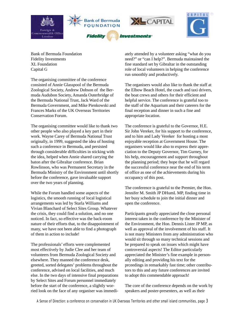

Bank of Bermuda Foundation Fidelity Investments XL Foundation Capital G

The organising committee of the conference consisted of Annie Glasspool of the Bermuda Zoological Society, Andrew Dobson of the Bermuda Audubon Society, Amanda Outerbridge of the Bermuda National Trust, Jack Ward of the Bermuda Government, and Mike Pienkowski and Frances Marks of the UK Overseas Territories Conservation Forum.

The organising committee would like to thank two other people who also played a key part in their work. Wayne Carey of Bermuda National Trust originally, in 1999, suggested the idea of hosting such a conference in Bermuda, and persisted through considerable difficulties in sticking with the idea, helped when Annie shared carrying the baton after the Gibraltar conference. Brian Rowlinson, who was Permanent Secretary in the Bermuda Ministry of the Environment until shortly before the conference, gave invaluable support over the two years of planning.

While the Forum handled some aspects of the logistics, the smooth running of local logistical arrangements was led by Starla Williams and Vivian Blanchard of Select Sites Group. Whatever the crisis, they could find a solution, and no one noticed. In fact, so effective was the back-room nature of their efforts that, to the disappointment of many, we have not been able to find a photograph of them in action to include!

The professionals' efforts were complemented most effectively by Judie Clee and her team of volunteers from Bermuda Zoological Society and elsewhere. They manned the conference desk, greeted, sorted delegates' problems throughout the conference, advised on local facilities, and much else. In the two days of intensive final preparations by Select Sites and Forum personnel immediately before the start of the conference, a slightly worried look on the face of any organiser was immedi-

ately attended by a volunteer asking "what do you need?" or "can I help?". Bermuda maintained the fine standard set by Gibraltar in the outstanding role of local volunteers in helping the conference run smoothly and productively.

The organisers would also like to thank the staff at the Elbow Beach Hotel, the coach and taxi drivers, the boat crews and others for their efficient and helpful service. The conference is grateful too to the staff of the Aquarium and their caterers for the final reception and dinner in such a fine and appropriate location.

The conference is grateful to the Governor, H.E. Sir John Vereker, for his support to the conference, and to him and Lady Vereker for hosting a most enjoyable reception at Government House. The organisers would like also to express their appreciation to the Deputy Governor, Tim Gurney, for his help, encouragement and support throughout the planning period; they hope that he will regard the successful conference near the end of his term of office as one of the achievements during his occupancy of this post.

The conference is grateful to the Premier, the Hon. Jennifer M. Smith JP DHumL MP, finding time in her busy schedule to join the initial dinner and open the conference.

Participants greatly appreciated the close personal interest taken in the conference by the Minister of the Environment, the Hon. Dennis Lister JP MP, as well as approval of the involvement of his staff. It is not many Ministers from any administration who would sit through so many technical sessions and be prepared to speak on issues which might have controversial aspects! The Editor particularly appreciated the Minister's fine example in personally editing and providing his text for the prceedings in remarkably fast time; other contributors to this and any future conferences are invited to adopt this commendable approach!

The core of the conference depends on the work by speakers and poster-presenters, as well as their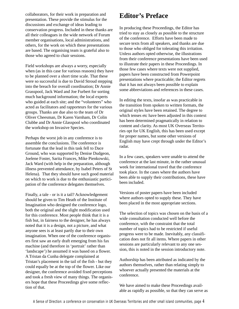<span id="page-3-0"></span>collaborators, for their work in preparation and presentation. These provide the stimulus for the discussions and exchange of ideas leading to conservation progress. Included in these thanks are all their colleagues in the wide network of Forum member organisations, local administrations, and others, for the work on which these presentations are based. The organising team is grateful also to those who agreed to chair sessions.

Field workshops are always a worry, especially when (as in this case for various reasons) they have to be planned over a short time scale. That these were so successful is due to David Stroud stepping into the breach for overall coordination; Dr Annie Grasspool, Jack Ward and Joe Furbert for sorting much background information; the local experts who guided at each site; and the "volunteers" who acted as facilitators and rapporteurs for the various groups. Thanks are due also to the team of Dr Oliver Cheesman, Dr Karen Varnham, Dr Colin Clubbe and Dr Annie Glasspool who coordinated the workshop on Invasive Species.

Perhaps the worst job in any conference is to assemble the conclusions. The conference is fortunate that the lead in this task fell to Dace Ground, who was supported by Denise Dudgeon, Joelene Foster, Sarita Frances, Mike Pienkowski, Jack Ward (with help in the preparation, although illness prevented attendance, by Isabel Peters of St Helena). That they should have such good material on which to work is due to the enthusiastic participation of the conference delegates themselves.

Finally, a tale - or is it a tail? Acknowledgement should be given to Tim Heath of the Institute of Imagination who designed the conference logo, both the original and the slight modification used for this conference. Most people think that it is a fish but, in fairness to the designer, he has always noted that it is a design, not a picture, and what anyone sees is at least partly due to their own imagination. When one of the conference organisers first saw an early draft emerging from his fax machine (and therefore in 'portrait' rather than 'landscape') he assumed it was based on a flower. A Tristan da Cunha delegate complained at Tristan's placement in the tail of the fish - but they could equally be at the top of the flower. Like our designer, the conference avoided fixed perceptions and took a fresh view of many things. The organisers hope that these Proceedings give some reflection of that.

### **Editor's Preface**

In producing these Proceedings, the Editor has tried to stay as closely as possible to the structure of the conference. Efforts have been made to secure texts from all speakers, and thanks are due to those who obliged for tolerating this irritation. Unless authors opted otherwise, the illustrations from their conference presentations have been used to illustrate their papers in these Proceedings. In those few cases where texts were not supplied, papers have been constructed from Powerpoint presentations where practicable; the Editor regrets that it has not always been possible to explain some abbreviations and references in these cases.

In editing the texts, insofar as was practicable in the transition from spoken to written formats, the original styles have been retained. The degree to which tenses etc have been adjusted in this context has been determined pragmatically in relation to content and clarity. As most UK Overseas Territories opt for UK English, this has been used except for proper names, but some other versions of English may have crept through under the Editor's radar.

In a few cases, speakers were unable to attend the conference at the last minute, in the rather unusual week for international travel that the conference took place. In the cases where the authors have been able to supply their contributions, these have been included.

Versions of poster papers have been included where authors opted to supply these. They have been placed in the most appropriate sections.

The selection of topics was chosen on the basis of a wide consultation conducted well before the conference, with the constraint that the total number of topics had to be restricted if useful progress were to be made. Inevitably, any classification does not fit all items. Where papers in other sessions are particularly relevant to any one session, this is noted in the session introductory note.

Authorship has been attributed as indicated by the authors themselves, rather than relating simply to whoever actually presented the materials at the conference.

We have aimed to make these Proceedings available as rapidly as possible, so that they can serve as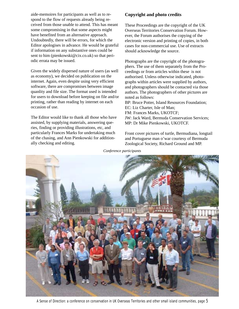aide-memoires for participants as well as to respond to the flow of requests already being received from those unable to attend. This has meant some compromising in that some aspects might have benefited from an alternative approach. Undoubtedly, there will be errors, for which the Editor apologises in advance. He would be grateful if information on any substantive ones could be sent to him (pienkowski@cix.co.uk) so that periodic errata may be issued.

Given the widely dispersed nature of users (as well as economy), we decided on publication on the internet. Again, even despite using very efficient software, there are compromises between image quanlity and file size. The format used is intended for users to download before keeping on file and/or printing, rather than reading by internet on each occasion of use.

The Editor would like to thank all those who have assisted, by supplying materials, answering queries, finding or providing illustrations, etc, and particularly Frances Marks for undertaking much of the chasing, and Ann Pienkowski for additionally checking and editing.

#### **Copyright and photo credits**

These Proceedings are the copyright of the UK Overseas Territories Conservation Forum. However, the Forum authorises the copying of the electronic version and printing of copies, in both cases for non-commercial use. Use of extracts should acknowledge the source.

Photographs are the copyright of the photographers. The use of them separately from the Proceedings or from articles within these is not authorised. Unless otherwise indicated, photographs within articles were supplied by authors, and photographers should be contacted via those authors. The photographers of other pictures are noted as follows: BP: Bruce Potter, Island Resources Foundation;

EC: Liz Charter, Isle of Man; FM: Frances Marks, UKOTCF; JW: Jack Ward, Bermuda Conservation Services; MP: Dr Mike Pienkowski, UKOTCF.

Front cover pictures of turtle, Bermudiana, longtail and Portuguese man o'war courtesy of Bermuda Zoological Society, Richard Ground and MP.

*Conference participants*

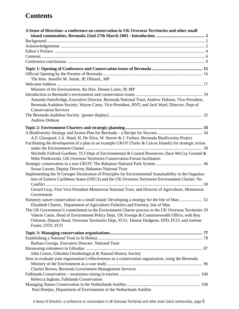### **[Contents](#page-1-0)**

| A Sense of Direction: a conference on conservation in UK Overseas Territories and other small           |  |
|---------------------------------------------------------------------------------------------------------|--|
|                                                                                                         |  |
|                                                                                                         |  |
|                                                                                                         |  |
|                                                                                                         |  |
|                                                                                                         |  |
|                                                                                                         |  |
|                                                                                                         |  |
|                                                                                                         |  |
| The Hon. Jennifer M. Smith, JP, DHumL, MP                                                               |  |
|                                                                                                         |  |
| Minister of the Environment, the Hon. Dennis Lister, JP, MP                                             |  |
|                                                                                                         |  |
| Amanda Outerbridge, Executive Director, Bermuda National Trust; Andrew Dobson, Vice-President,          |  |
| Bermuda Audubon Society; Wayne Carey, Vice-President, BNT; and Jack Ward, Director, Dept of             |  |
| <b>Conservation Services</b>                                                                            |  |
|                                                                                                         |  |
| <b>Andrew Dobson</b>                                                                                    |  |
|                                                                                                         |  |
|                                                                                                         |  |
| A.F. Glasspool, J.A. Ward, H. De Silva, W. Sterrer & J. Furbert, Bermuda Biodiversity Project           |  |
| Facilitating the development of a plan in an example UKOT (Turks & Caicos Islands) for strategic action |  |
|                                                                                                         |  |
| Michelle Fulford-Gardiner, TCI Dept of Environmental & Coastal Resources; Dace McCoy Ground &           |  |
| Mike Pienkowski, UK Overseas Territories Conservation Forum facilitators                                |  |
|                                                                                                         |  |
| Susan Larson, Deputy Director, Bahamas National Trust                                                   |  |
| Implementing the St Georges Declaration of Principles for Environmental Sustainability in the Organisa- |  |
| tion of Eastern Caribbean States (OECS) and the UK Overseas Territories Environment Charter: No         |  |
|                                                                                                         |  |
| Gerard Gray, First Vice-President Montserrat National Trust, and Director of Agriculture, Montserrat    |  |
| Government                                                                                              |  |
| Statutory nature conservation on a small island: Developing a strategy for the Isle of Man  52          |  |
| Elizabeth Charter, Department of Agriculture Fisheries and Forestry, Isle of Man                        |  |
| The UK Government's commitment to the Environment Charter process in the UK Overseas Territories 59     |  |
| Valerie Caton, Head of Environment Policy Dept, UK Foreign & Commonwealth Office; with Roy              |  |
| Osborne, Deputy Head, Overseas Territories Dept, FCO; Denise Dudgeon, EPD, FCO; and Joelene             |  |
| Foster, OTD, FCO                                                                                        |  |
|                                                                                                         |  |
|                                                                                                         |  |
|                                                                                                         |  |
| Barbara George, Executive Director National Trust                                                       |  |
|                                                                                                         |  |
| John Cortes, Gibraltar Ornithological & Natural History Society                                         |  |
| How to evaluate your organisation's effectiveness as a conservation organisation, using the Bermuda     |  |
|                                                                                                         |  |
| Charles Brown, Bermuda Government Management Services                                                   |  |
|                                                                                                         |  |
| Rebecca Ingham, Falklands Conservation                                                                  |  |
|                                                                                                         |  |
| Paul Hoetjes, Department of Environment of the Netherlands Antilles                                     |  |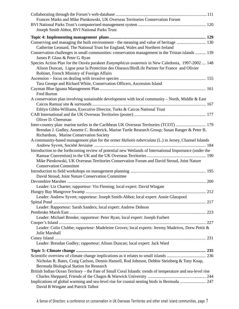| Frances Marks and Mike Pienkowski, UK Overseas Territories Conservation Forum                               |
|-------------------------------------------------------------------------------------------------------------|
|                                                                                                             |
| Joseph Smith Abbot, BVI National Parks Trust                                                                |
|                                                                                                             |
| Conserving and managing the built environment - the meaning and value of heritage  130                      |
| Catherine Leonard, The National Trust for England, Wales and Northern Ireland                               |
| Conservation challenges in small communities: conservation management in the Tristan islands  139           |
| James P. Glass & Peter G. Ryan                                                                              |
| Species Action Plan for the Ouvéa parakeet Eunymphicus uvaeensis in New Caledonia, 1997-2002  148           |
| Alison Duncan, Ligue pour la Protection des Oiseaux/BirdLife Partner for France and Olivier                 |
| Robinet, French Ministry of Foreign Affairs                                                                 |
|                                                                                                             |
| Tara George and Richard White, Conservation Officers, Ascension Island                                      |
|                                                                                                             |
| <b>Fred Burton</b>                                                                                          |
| A conservation plan involving sustainable development with local community – North, Middle & East           |
|                                                                                                             |
| Ethlyn Gibbs-Williams, Executive Director, Turks & Caicos National Trust                                    |
|                                                                                                             |
| Oliver D. Cheesman                                                                                          |
| Inter-country plan: marine turtles in the Caribbean UK Overseas Territories (TCOT)  179                     |
| Brendan J. Godley, Annette C. Broderick, Marine Turtle Research Group; Susan Ranger & Peter B.              |
| Richardson, Marine Conservation Society                                                                     |
| A community-based management plan for the ormer <i>Haliotis tuberculata</i> (L.) in Jersey, Channel Islands |
|                                                                                                             |
| Introduction to the forthcoming review of potential new Wetlands of International Importance (under the     |
|                                                                                                             |
| Mike Pienkowski, UK Overseas Territories Conservation Forum and David Stroud, Joint Nature                  |
| <b>Conservation Committee</b>                                                                               |
|                                                                                                             |
| David Stroud, Joint Nature Conservation Committee                                                           |
|                                                                                                             |
| Leader: Liz Charter; rapporteur: Vin Fleming; local expert: David Wingate                                   |
|                                                                                                             |
| Leader: Andrew Syvret; rapporteur: Joseph Smith-Abbot; local expert: Annie Glasspool                        |
|                                                                                                             |
| Leader: Rapporteur: Sarah Sanders; local expert: Andrew Dobson                                              |
|                                                                                                             |
| Leader: Michael Brooke; rapporteur: Peter Ryan; local expert: Joseph Furbert                                |
|                                                                                                             |
| Leader: Colin Clubbe; rapporteur: Madeleine Groves; local experts: Jeremy Madeiros, Drew Pettit &           |
| Julie Marshall                                                                                              |
|                                                                                                             |
| Leader: Brendan Godley; rapporteur: Alison Duncan; local expert: Jack Ward                                  |
|                                                                                                             |
|                                                                                                             |
| Nicholas R. Bates, Craig Carlson, Dennis Hansell, Rod Johnson, Debbie Steinberg & Tony Knap,                |
| Bermuda Biological Station for Research                                                                     |
| British Indian Ocean Territory - the Fate of Small Coral Islands: trends of temperature and sea-level rise  |
|                                                                                                             |
| Implications of global warming and sea-level rise for coastal nesting birds in Bermuda  247                 |
| David B Wingate and Patrick Talbot                                                                          |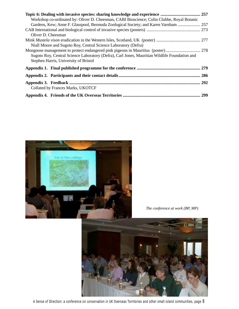| Workshop co-ordinated by: Oliver D. Cheesman, CABI Bioscience; Colin Clubbe, Royal Botanic    |  |
|-----------------------------------------------------------------------------------------------|--|
| Gardens, Kew; Anne F. Glasspool, Bermuda Zoological Society; and Karen Varnham  257           |  |
|                                                                                               |  |
| Oliver D. Cheesman                                                                            |  |
|                                                                                               |  |
| Niall Moore and Sugoto Roy, Central Science Laboratory (Defra)                                |  |
|                                                                                               |  |
| Sugoto Roy, Central Science Laboratory (Defra), Carl Jones, Mauritian Wildlife Foundation and |  |
| Stephen Harris, University of Bristol                                                         |  |
|                                                                                               |  |
|                                                                                               |  |
|                                                                                               |  |
| Collated by Frances Marks, UKOTCF                                                             |  |
|                                                                                               |  |



*The conference at work (BP, MP)*



A Sense of Direction: a conference on conservation in UK Overseas Territories and other small island communities, page 8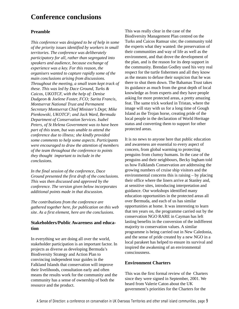### <span id="page-8-0"></span>**Conference conclusions**

#### **Preamble**

*This conference was designed to be of help in some of the priority issues identified by workers in small territories. The conference was deliberately participatory for all, rather than segregated into speakers and audience, because exchange of experience was a key. For this reason, the organisers wanted to capture rapidly some of the main conclusions arising from discussions. Throughout the meeting, a small team kept track of these. This was led by Dace Ground, Turks & Caicos, UKOTCF, with the help of: Denise Dudgeon & Joelene Foster, FCO; Sarita Francis, Montserrat National Trust and Permanent Secretary Montserrat Chief Minister's Dept; Mike Pienkowski, UKOTCF; and Jack Ward, Bermuda Department of Conservation Services. Isabel Peters, of St Helena Government was to have been part of this team, but was unable to attend the conference due to illness; she kindly provided some comments to help some aspects. Participants were encouraged to draw the attention of members of the team throughout the conference to points they thought important to include in the conclusions.*

*In the final session of the conference, Dace Ground presented the first draft of the conclusions. This was then discussed and approved by the conference. The version given below incorporates additional points made in that discussion.*

*The contributions from the conference are gathered together here, for publication on this web site. As a first element, here are the conclusions.*

#### **Stakeholders/Public Awareness and education**

In everything we are doing all over the world, stakeholder participation is an important factor. In projects as diverse as developing Bermuda's Biodiversity Strategy and Action Plan to convincing independent tour guides in the Falkland Islands that conservation will improve their livelihoods, consultation early and often means the results work for the community and the community has a sense of ownership of both the resource and the product.

This was really clear in the case of the Biodiversity Management Plan centred on the Turks and Caicos Ramsar site; the community told the experts what they wanted: the preservation of their communities and way of life as well as the environment, and that drove the development of the plan, and is the reason for its deep support in the community. Brendan Godley used his very real respect for the turtle fishermen and all they know as the means to defuse their suspicion that he was there to shut them down. The Bahamas Trust takes its guidance as much from the great depth of local knowledge as from experts and they have people asking for more protected areas, a pretty amazing feat. The same trick worked in Tristan, where the image will stay with us for a long time of Gough Island as the Trojan horse, creating pride of the local people in the declaration of World Heritage status and converting them to support for other protected areas.

It is no news to anyone here that public education and awareness are essential to every aspect of concern, from global warming to protecting penguins from clumsy humans. In the case of the penguins and their neighbours, Becky Ingham told us how Falklands Conservation are addressing the growing numbers of cruise ship visitors and the environmental concerns this is raising – by placing their office where the liners arrive at Stanley and, at sensitive sites, introducing interpretation and guidance. Our workshops identified many education opportunities in the protected areas all over Bermuda, and each of us has similar opportunities at home. It was interesting to learn that ten years on, the programme carried out by the conservation NGO RARE in Cayman has left lasting benefits in the conversion of the indifferent majority to conservation values. A similar programme is being carried out in New Caledonia, and the sense of pride created by a new NGO in a local parakeet has helped to ensure its survival and inspired the awakening of an environmental consciousness.

#### **Environment Charters**

This was the first formal review of the Charters since they were signed in September, 2001. We heard from Valerie Caton about the UK government's priorities for the Charters for the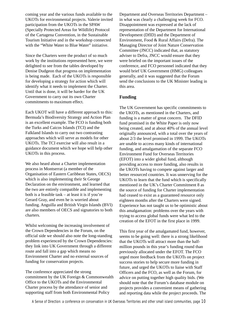coming year and the various funds available to the UKOTs for environmental projects. Valerie invited participation from the UKOTs in the SPAW (Specially Protected Areas for Wildlife) Protocol of the Cartagena Convention, in the Sustainable Tourism Initiative and in the workshop connected with the "White Water to Blue Water" initiative.

Since the Charters were the product of so much work by the institutions represented here, we were delighted to see from the tables developed by Denise Dudgeon that progress on implementation is being made. Each of the UKOTs is responsible for developing a strategy for action which will identify what it needs to implement the Charter. Until that is done, it will be harder for the UK Government to carry out its own Charter commitments to maximum effect.

Each UKOT will have a different approach to this: Bermuda's Biodiversity Strategy and Action Plan is an excellent example. The FCO is funding both the Turks and Caicos Islands (TCI) and the Falkland Islands to carry out two contrasting approaches which will serve as models for other UKOTs. The TCI exercise will also result in a guidance document which we hope will help other UKOTs in this process.

We also heard about a Charter implementation process in Montserrat (a member of the Organisation of Eastern Caribbean States, OECS) which is also implementing their St George Declaration on the environment, and learned that the two are entirely compatible and implementing both is a feasible task – at least it is if you're Gerard Gray, and even he is worried about funding. Anguilla and British Virgin Islands (BVI) are also members of OECS and signatories to both charters.

Whilst welcoming the increasing involvement of the Crown Dependencies in the Forum, on the official side we should also note the long-standing problem experienced by the Crown Dependencies: they link into UK Government through a different route and fall into a gap which means no Environment Charter and no external sources of funding for conservation projects.

The conference appreciated the strong commitment by the UK Foreign & Commonwealth Office to the UKOTs and the Environmental Charter process by the attendance of senior and supporting staff from both Environmental Policy

Department and Overseas Territories Department – in what was clearly a challenging week for FCO. Disappointment was expressed at the lack of representation of the Department for International Development (DfID) and the Department of Environment, Food & Rural Affairs (Defra). The Managing Director of Joint Nature Conservation Committee (JNCC) indicated that, as statutory adviser to Defra, JNCC would ensure that they were briefed on the important issues of the conference, and FCO personnel indicated that they would brief UK Government (HMG) colleagues generally, and it was suggested that the Forum send the conclusions to the UK Minister leading in this area.

#### **Funding**

The UK Government has specific commitments to the UKOTs, as mentioned in the Charters, and funding is a matter of great concern. The DFID fund promised in the White Paper is only now being created, and at about 40% of the annual level originally announced, with a total over the years of about 2/3 the level promised in 1999. The UKOTs are unable to access many kinds of international funding, and amalgamation of the separate FCO Environment Fund for Overseas Territories (EFOT) into a wider global fund, although providing access to more funding, also results in the UKOTs having to compete against larger and better resourced countries. It was unnerving for the UKOTs to learn that the fund which is specifically mentioned in the UK's Charter Commitment 8 as the source of funding for Charter implementation had ceased to exist as a guaranteed resource only eighteen months after the Charters were signed. Experience has not taught us to be optimistic about this amalgamation: problems over the years with trying to access global funds were what led to the creation of the EFOT in the first place in 1999.

This first year of the amalgamated fund, however, seems to be going well: there is a strong likelihood that the UKOTs will attract more than the halfmillion pounds in this year's funding round than previously allocated under the EFOT. The FCO urged more feedback from the UKOTs on project success stories to help secure more funding in future, and urged the UKOTs to liaise with Staff Officers and the FCO, as well as the Forum, for advice on putting together high quality bids. (We should note that the Forum's database module on projects provides a convenient means of gathering and reporting data while the project proceeds. The

A Sense of Direction: a conference on conservation in UK Overseas Territories and other small island communities, page 10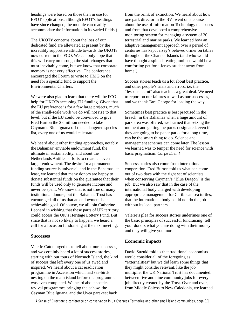headings were based on those then in use for EFOT applications; although EFOT's headings have since changed, the module can readily accommodate the information in its varied fields.)

The UKOTs' concerns about the loss of our dedicated fund are alleviated at present by the incredibly supportive attitude towards the UKOTs now current in the FCO. We can only hope that this will carry on through the staff changes that must inevitably come, but we know that corporate memory is not very effective. The conference encouraged the Forum to write to HMG on the need for a specific fund to support the Environmental Charters.

We were also glad to learn that there will be FCO help for UKOTs accessing EU funding. Given that the EU preference is for a few large projects, much of the small-scale work we do will not rise to that level, but if the EU could be convinced to give Fred Burton the \$8 million needed to take Cayman's Blue Iguana off the endangered species list, every one of us would celebrate.

We heard about other funding approaches, notably the Bahamas' enviable endowment fund, the ultimate in sustainability, and about the Netherlands Antilles' efforts to create an even larger endowment. The desire for a permanent funding source is universal, and in the Bahamas, at least, we learned that many donors are happy to donate substantial funds on the guarantee that their funds will be used only to generate income and never be spent. We know that is not true of many institutional donors, but the Bahamas Trust has encouraged all of us that an endowment is an achievable goal. Of course, we all join Catherine Leonard in wishing that these parts of UK territory could access the UK's Heritage Lottery Fund. But since that is not so likely to happen, we heard a call for a focus on fundraising at the next meeting.

#### **Successes**

Valerie Caton urged us to tell about our successes, and we certainly heard a lot of success stories, starting with our tours of Nonsuch Island, the kind of success that left every one of us awed and inspired. We heard about a cat eradication programme in Ascension which had sea-birds nesting on the main island before the programme was even completed. We heard about species revival programmes bringing the cahow, the Cayman Blue Iguana, and the Uvea parakeet back

from the brink of extinction. We heard about how one park director in the BVI went on a course about the use of Information Technology databases and from that developed a comprehensive monitoring system for managing a system of 20 terrestrial and marine parks. We learned how an adaptive management approach over a period of centuries has kept Jersey's beloved ormer on tables throughout the Channel Islands (and who would have thought a spinach-eating mollusc would be a comforting pet for a Jersey student away from home!)

Success stories teach us a lot about best practice, and other people's trials and errors, i.e. the "lessons learnt" also teach us a great deal. We need to report on our failures as well as our successes, and we thank Tara George for leading the way.

Sometimes best practice is best practised in the breach: in the Bahamas when a huge amount of park area was offered, we learned that seizing the moment and getting the parks designated, even if they are going to be paper parks for a long time, can be the smart thing to do. Science and management schemes can come later. The lesson we learned was to temper the need for science with basic pragmatism: *Carpe Diem!*

Success stories also come from international cooperation. Fred Burton told us what can come out of two days with the right set of scientists when conserving Cayman's "Blue Dragon" is the job. But we also saw that in the case of the international body charged with developing appropriate management for Caribbean sea turtles, that the international body could not do the job without its local partners.

Valerie's plea for success stories underlines one of the basic principles of successful fundraising: tell your donors what you are doing with their money and they will give you more.

#### **Economic impacts**

David Suzuki told us that traditional economists would consider all of the foregoing as "externalities" but we did learn some things that they might consider relevant, like the job multiplier the UK National Trust has documented: between five and nine community jobs for every job directly created by the Trust. Over and over, from Middle Caicos to New Caledonia, we learned

A Sense of Direction: a conference on conservation in UK Overseas Territories and other small island communities, page 11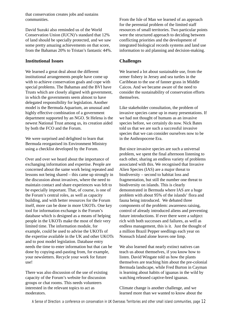that conservation creates jobs and sustains communities.

David Suzuki also reminded us of the World Conservation Union (IUCN)'s standard that 12% of land should be specially protected, and we saw some pretty amazing achievements on that score, from the Bahamas 20% to Tristan's fantastic 44%.

#### **Institutional Issues**

We learned a great deal about the different institutional arrangements people have come up with to achieve conservation goals and cope with special problems. The Bahamas and the BVI have Trusts which are closely aligned with government, in which the governments seem almost to have delegated responsibility for legislation. Another model is the Bermuda Aquarium, an unusual and highly effective combination of a government department supported by an NGO. St Helena is the newest National Trust among us, its creation aided by both the FCO and the Forum.

We were surprised and delighted to learn that Bermuda reorganised its Environment Ministry using a checklist developed by the Forum.

Over and over we heard about the importance of exchanging information and expertise. People are concerned about the same work being repeated and lessons not being shared – this came up strongly in the discussion about invasives, where the need to maintain contact and share experiences was felt to be especially important. That, of course, is one of the Forum's central roles, as well as capacity building, and with better resources for the Forum itself, more can be done in more UKOTs. One key tool for information exchange is the Forum's database which is designed as a means of helping people in the UKOTs make the most of their very limited time. The information module, for example, could be used to advise the UKOTs of the expertise available in the UK and other UKOTs and to post model legislation. Database entry needs the time to enter information but that can be done by copying-and-pasting from, for example, your newsletters. Recycle your work for future use!

There was also discussion of the use of existing capacity of the Forum's website for discussion groups or chat rooms. This needs volunteers interested in the relevant topics to act as moderators.

From the Isle of Man we learned of an approach for the perennial problem of the limited staff resources of small territories. Two particular points were the structured approach to deciding between conflicting priorities and the development of integrated biological records systems and land use information to aid planning and decision-making.

#### **Challenges**

We learned a lot about sustainable use, from the ormer fishery in Jersey and sea turtles in the Caribbean to the use of fanner grass in Middle Caicos. And we became aware of the need to consider the sustainability of conservation efforts themselves.

Like stakeholder consultation, the problem of invasive species came up in many presentations. If we had not thought of humans as an invasive species before, we certainly do now. Nick Bates told us that we are such a successful invasive species that we can consider ourselves now to be in the Anthropocene Era.

But since invasive species are such a universal problem, we spent the final afternoon listening to each other, sharing an endless variety of problems associated with this. We recognised that Invasive Alien Species (IAS) are a major threat to biodiversity – second to habitat loss and fragmentation, but still the number one threat to biodiversity on islands. This is clearly demonstrated in Bermuda where IAS are a huge problem with about 95% of the islands' flora and fauna being introduced. We debated three components of the problem: awareness raising, control of already introduced aliens and preventing future introductions. If ever there were a subject rich with both successes and failures, as well as endless management, this is it. Just the thought of a million Brazil Pepper seedlings each year on Nonsuch Island alone leaves one limp.

We also learned that nearly extinct natives can teach us about themselves, if you know how to listen. David Wingate told us how the plants themselves are teaching him about the pre-colonial Bermuda landscape, while Fred Burton in Cayman is learning about habits of iguanas in the wild by watching released captive-bred iguanas.

Climate change is another challenge, and we learned more than we wanted to know about the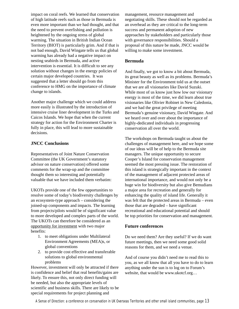impact on coral reefs. We learned that conservation of high latitude reefs such as those in Bermuda is even more important than we had thought, and that the need to prevent overfishing and pollution is heightened by the ongoing stress of global warming. The situation in British Indian Ocean Territory (BIOT) is particularly grim. And if that is not bad enough, David Wingate tells us that global warming has already had a negative impact on nesting seabirds in Bermuda, and active intervention is essential. It is difficult to see any solution without changes in the energy policies of certain major developed countries. It was suggested that a letter should go from this conference to HMG on the importance of climate change to islands.

Another major challenge which we could address more easily is illustrated by the introduction of intensive cruise liner development in the Turks and Caicos Islands. We hope that when the current strategy for action for the Environment Charter is fully in place, this will lead to more sustainable decisions.

#### **JNCC Conclusions**

Representatives of Joint Nature Conservation Committee (the UK Government's statutory advisor on nature conservation) offered some comments for the wrap-up and the committee thought them so interesting and potentially valuable that we have included them verbatim:

UKOTs provide one of the few opportunities to resolve some of today's biodiversity challenges by an ecosystem-type approach – considering the joined-up components and impacts. The learning from projects/pilots would be of significant value to more developed and complex parts of the world. The UKOTs can therefore be considered as an opportunity for investment with two major benefits:

- 1. to meet obligations under Multilateral Environment Agreements (MEA)s, or global conventions
- 2. to provide cost effective and transferable solutions to global environmental problems

However, investment will only be attracted if there is confidence and belief that real benefits/gains are likely. To ensure this, not only direct funding will be needed, but also the appropriate levels of scientific and business skills. There are likely to be special requirements for project planning and

management, resource management and negotiating skills. These should not be regarded as an overhead as they are critical to the long-term success and permanent adoption of new approaches by stakeholders and particularly those with governance responsibilities. Should a proposal of this nature be made, JNCC would be willing to make some investment.

#### **Bermuda**

And finally, we got to know a bit about Bermuda, its great beauty as well as its problems. Bermuda's Minister for the Environment told us at the outset that we are all visionaries like David Suzuki. While most of us know just how low our visionary energy is most of the time, we did learn about true visionaries like Olivier Robinet in New Caledonia, and we had the great privilege of meeting Bermuda's genuine visionary, David Wingate. And we heard over and over about the importance of highly-dedicated individuals in progressing conservation all over the world.

The workshops on Bermuda taught us about the challenges of management here, and we hope some of our ideas will be of help to the Bermuda site managers. The unique opportunity to secure Cooper's Island for conservation management seemed the most pressing issue. The restoration of this island is strategically important in the context of the management of adjacent protected areas of international importance, and would not only be a huge win for biodiversity but also give Bemudians a major area for recreation and generally for enhancing the quality of island life. Generally it was felt that the protected areas in Bermuda – even those that are degraded – have significant recreational and educational potential and should be top priorities for conservation and management.

#### **Future conferences**

Do we need them? Are they useful? If we do want future meetings, then we need some good solid reasons for them, and we need a venue.

And of course you didn't need me to read this to you, as we all know that all you have to do to learn anything under the sun is to log on to Forum's website, that would be www.ukotcf.org…